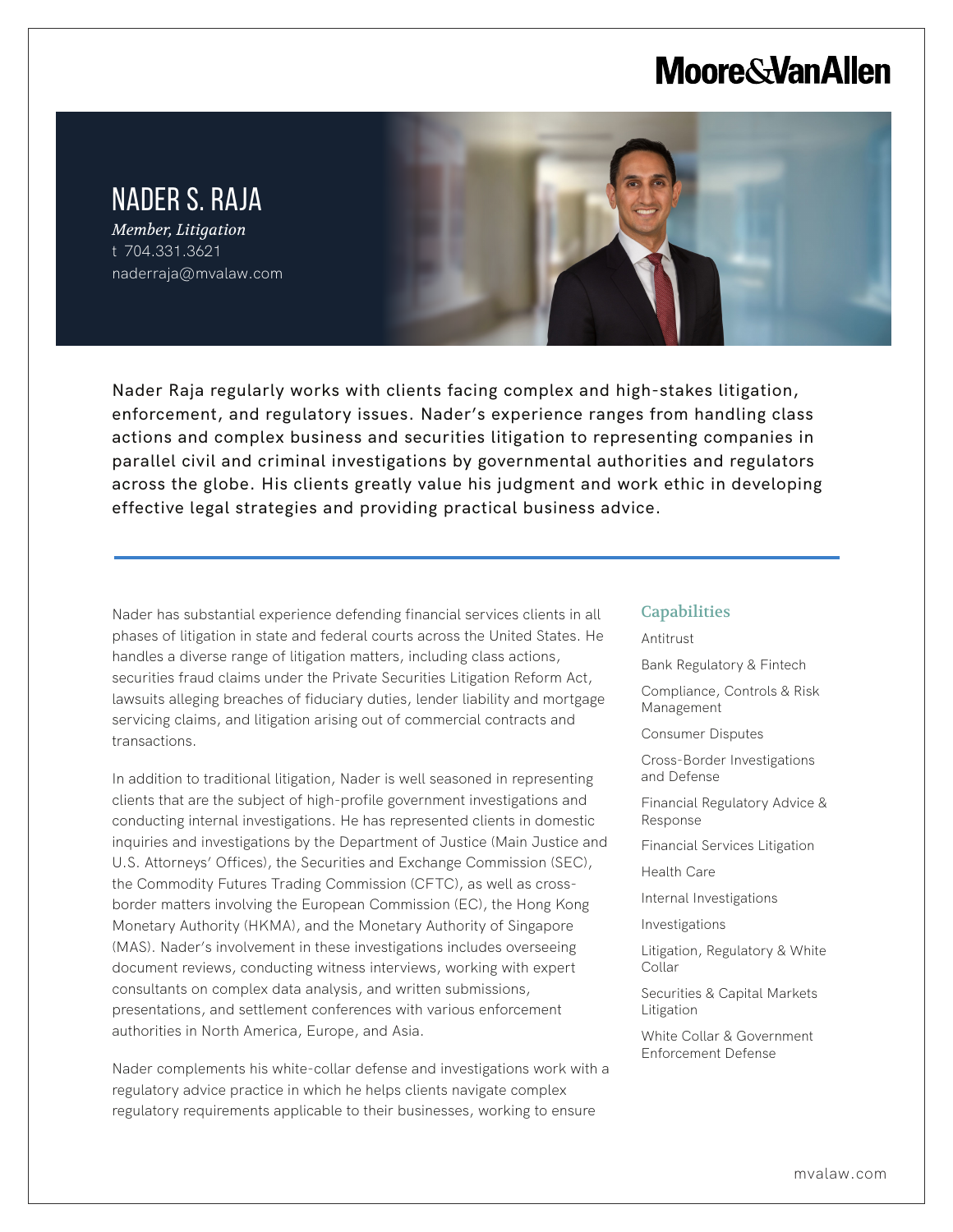# **Moore & Van Allen**

## NADER S. RAJA *Member, Litigation*

t 704.331.3621 naderraja@mvalaw.com

L

Nader Raja regularly works with clients facing complex and high-stakes litigation, enforcement, and regulatory issues. Nader's experience ranges from handling class actions and complex business and securities litigation to representing companies in parallel civil and criminal investigations by governmental authorities and regulators across the globe. His clients greatly value his judgment and work ethic in developing effective legal strategies and providing practical business advice.

Nader has substantial experience defending financial services clients in all phases of litigation in state and federal courts across the United States. He handles a diverse range of litigation matters, including class actions, securities fraud claims under the Private Securities Litigation Reform Act, lawsuits alleging breaches of fiduciary duties, lender liability and mortgage servicing claims, and litigation arising out of commercial contracts and transactions.

In addition to traditional litigation, Nader is well seasoned in representing clients that are the subject of high-profile government investigations and conducting internal investigations. He has represented clients in domestic inquiries and investigations by the Department of Justice (Main Justice and U.S. Attorneys' Offices), the Securities and Exchange Commission (SEC), the Commodity Futures Trading Commission (CFTC), as well as crossborder matters involving the European Commission (EC), the Hong Kong Monetary Authority (HKMA), and the Monetary Authority of Singapore (MAS). Nader's involvement in these investigations includes overseeing document reviews, conducting witness interviews, working with expert consultants on complex data analysis, and written submissions, presentations, and settlement conferences with various enforcement authorities in North America, Europe, and Asia.

Nader complements his white-collar defense and investigations work with a regulatory advice practice in which he helps clients navigate complex regulatory requirements applicable to their businesses, working to ensure

#### **Capabilities**

Antitrust

Bank Regulatory & Fintech

Compliance, Controls & Risk Management

Consumer Disputes

Cross-Border Investigations and Defense

Financial Regulatory Advice & Response

Financial Services Litigation

Health Care

Internal Investigations

Investigations

Litigation, Regulatory & White Collar

Securities & Capital Markets Litigation

White Collar & Government Enforcement Defense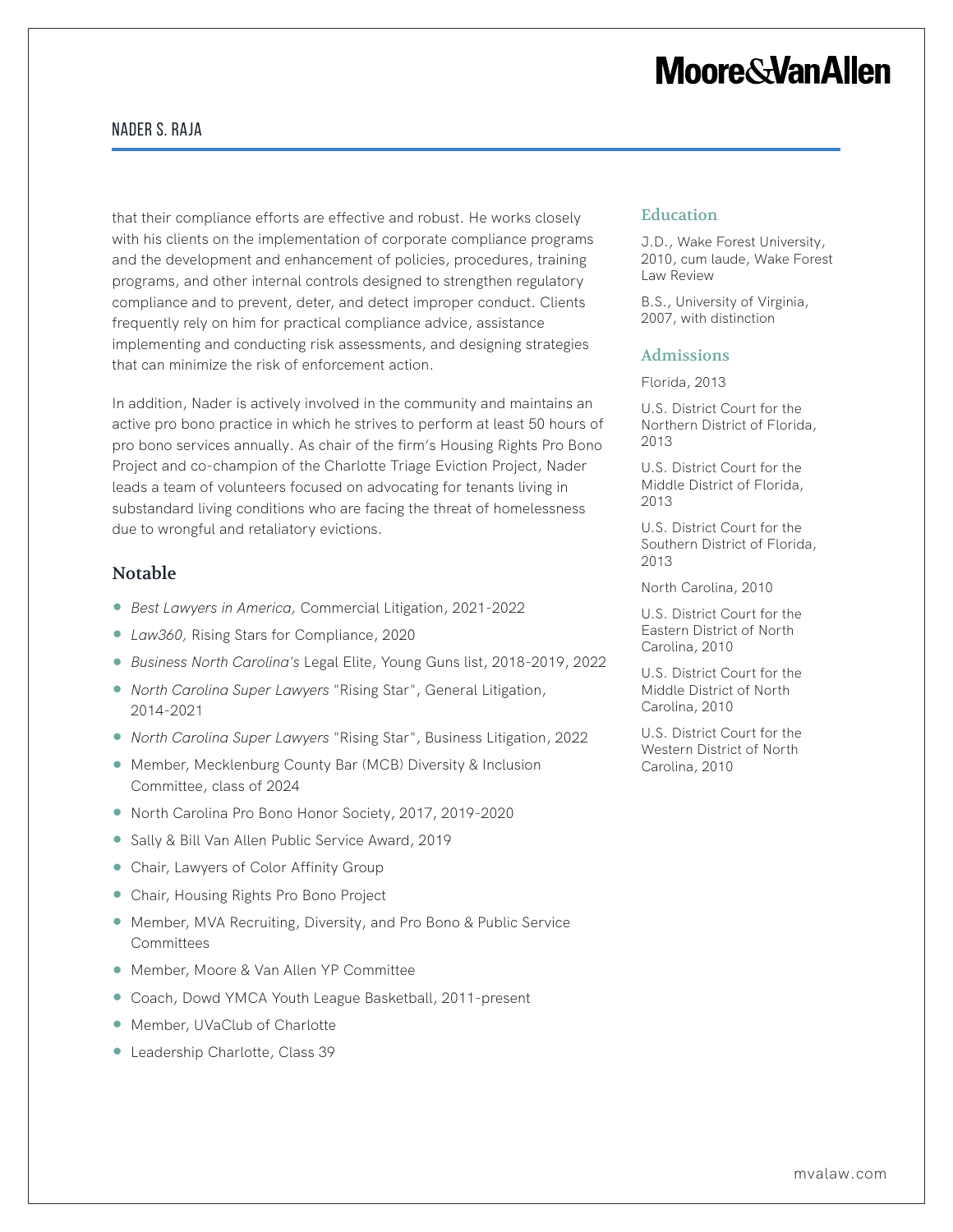# **Moore&VanAllen**

### Nader S. Raja

that their compliance efforts are effective and robust. He works closely with his clients on the implementation of corporate compliance programs and the development and enhancement of policies, procedures, training programs, and other internal controls designed to strengthen regulatory compliance and to prevent, deter, and detect improper conduct. Clients frequently rely on him for practical compliance advice, assistance implementing and conducting risk assessments, and designing strategies that can minimize the risk of enforcement action.

In addition, Nader is actively involved in the community and maintains an active pro bono practice in which he strives to perform at least 50 hours of pro bono services annually. As chair of the firm's Housing Rights Pro Bono Project and co-champion of the Charlotte Triage Eviction Project, Nader leads a team of volunteers focused on advocating for tenants living in substandard living conditions who are facing the threat of homelessness due to wrongful and retaliatory evictions.

### Notable

- *Best Lawyers in America,* Commercial Litigation, 2021-2022
- *Law360,* Rising Stars for Compliance, 2020
- *Business North Carolina's* Legal Elite, Young Guns list, 2018-2019, 2022
- *North Carolina Super Lawyers* "Rising Star", General Litigation, 2014-2021
- *North Carolina Super Lawyers* "Rising Star", Business Litigation, 2022
- Member, Mecklenburg County Bar (MCB) Diversity & Inclusion Committee, class of 2024
- North Carolina Pro Bono Honor Society, 2017, 2019-2020
- Sally & Bill Van Allen Public Service Award, 2019
- Chair, Lawyers of Color Affinity Group
- Chair, Housing Rights Pro Bono Project
- Member, MVA Recruiting, Diversity, and Pro Bono & Public Service Committees
- Member, Moore & Van Allen YP Committee
- Coach, Dowd YMCA Youth League Basketball, 2011-present
- Member, UVaClub of Charlotte
- Leadership Charlotte, Class 39

#### Education

J.D., Wake Forest University, 2010, cum laude, Wake Forest Law Review

B.S., University of Virginia, 2007, with distinction

#### Admissions

Florida, 2013

U.S. District Court for the Northern District of Florida, 2013

U.S. District Court for the Middle District of Florida, 2013

U.S. District Court for the Southern District of Florida, 2013

North Carolina, 2010

U.S. District Court for the Eastern District of North Carolina, 2010

U.S. District Court for the Middle District of North Carolina, 2010

U.S. District Court for the Western District of North Carolina, 2010